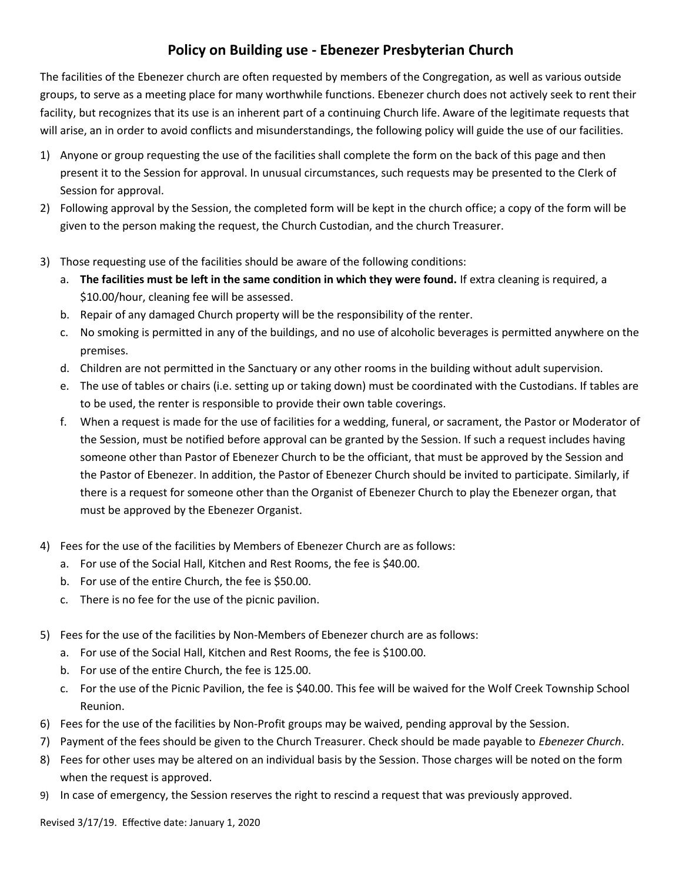## **Policy on Building use - Ebenezer Presbyterian Church**

The facilities of the Ebenezer church are often requested by members of the Congregation, as well as various outside groups, to serve as a meeting place for many worthwhile functions. Ebenezer church does not actively seek to rent their facility, but recognizes that its use is an inherent part of a continuing Church life. Aware of the legitimate requests that will arise, an in order to avoid conflicts and misunderstandings, the following policy will guide the use of our facilities.

- 1) Anyone or group requesting the use of the facilities shall complete the form on the back of this page and then present it to the Session for approval. In unusual circumstances, such requests may be presented to the CIerk of Session for approval.
- 2) Following approval by the Session, the completed form will be kept in the church office; a copy of the form will be given to the person making the request, the Church Custodian, and the church Treasurer.
- 3) Those requesting use of the facilities should be aware of the following conditions:
	- a. **The facilities must be left in the same condition in which they were found.** If extra cleaning is required, a \$10.00/hour, cleaning fee will be assessed.
	- b. Repair of any damaged Church property will be the responsibility of the renter.
	- c. No smoking is permitted in any of the buildings, and no use of alcoholic beverages is permitted anywhere on the premises.
	- d. Children are not permitted in the Sanctuary or any other rooms in the building without adult supervision.
	- e. The use of tables or chairs (i.e. setting up or taking down) must be coordinated with the Custodians. If tables are to be used, the renter is responsible to provide their own table coverings.
	- f. When a request is made for the use of facilities for a wedding, funeral, or sacrament, the Pastor or Moderator of the Session, must be notified before approval can be granted by the Session. If such a request includes having someone other than Pastor of Ebenezer Church to be the officiant, that must be approved by the Session and the Pastor of Ebenezer. In addition, the Pastor of Ebenezer Church should be invited to participate. Similarly, if there is a request for someone other than the Organist of Ebenezer Church to play the Ebenezer organ, that must be approved by the Ebenezer Organist.
- 4) Fees for the use of the facilities by Members of Ebenezer Church are as follows:
	- a. For use of the Social Hall, Kitchen and Rest Rooms, the fee is \$40.00.
	- b. For use of the entire Church, the fee is \$50.00.
	- c. There is no fee for the use of the picnic pavilion.
- 5) Fees for the use of the facilities by Non-Members of Ebenezer church are as follows:
	- a. For use of the Social Hall, Kitchen and Rest Rooms, the fee is \$100.00.
	- b. For use of the entire Church, the fee is 125.00.
	- c. For the use of the Picnic Pavilion, the fee is \$40.00. This fee will be waived for the Wolf Creek Township School Reunion.
- 6) Fees for the use of the facilities by Non-Profit groups may be waived, pending approval by the Session.
- 7) Payment of the fees should be given to the Church Treasurer. Check should be made payable to *Ebenezer Church*.
- 8) Fees for other uses may be altered on an individual basis by the Session. Those charges will be noted on the form when the request is approved.
- 9) In case of emergency, the Session reserves the right to rescind a request that was previously approved.

Revised 3/17/19. Effective date: January 1, 2020